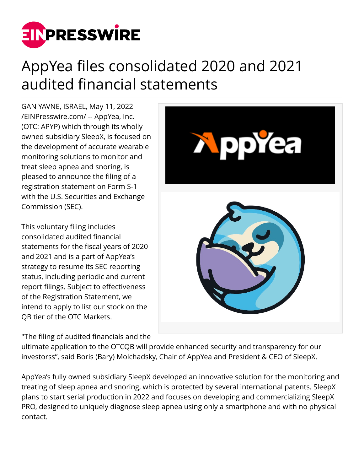

## AppYea files consolidated 2020 and 2021 audited financial statements

GAN YAVNE, ISRAEL, May 11, 2022 [/EINPresswire.com/](http://www.einpresswire.com) -- AppYea, Inc. (OTC: APYP) which through its wholly owned subsidiary SleepX, is focused on the development of accurate wearable monitoring solutions to monitor and treat sleep apnea and snoring, is pleased to announce the filing of a registration statement on Form S-1 with the U.S. Securities and Exchange Commission (SEC).

This voluntary filing includes consolidated audited financial statements for the fiscal years of 2020 and 2021 and is a part of AppYea's strategy to resume its SEC reporting status, including periodic and current report filings. Subject to effectiveness of the Registration Statement, we intend to apply to list our stock on the QB tier of the OTC Markets.

"The filing of audited financials and the



ultimate application to the OTCQB will provide enhanced security and transparency for our investorss", said Boris (Bary) Molchadsky, Chair of AppYea and President & CEO of SleepX.

AppYea's fully owned subsidiary SleepX developed an innovative solution for the monitoring and treating of sleep apnea and snoring, which is protected by several international patents. SleepX plans to start serial production in 2022 and focuses on developing and commercializing SleepX PRO, designed to uniquely diagnose sleep apnea using only a smartphone and with no physical contact.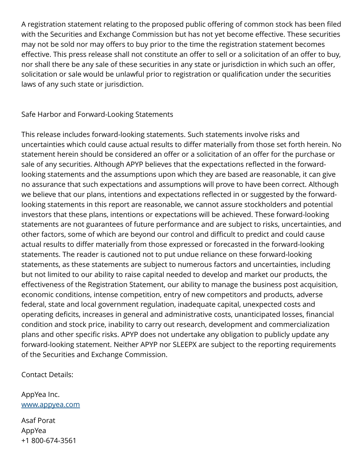A registration statement relating to the proposed public offering of common stock has been filed with the Securities and Exchange Commission but has not yet become effective. These securities may not be sold nor may offers to buy prior to the time the registration statement becomes effective. This press release shall not constitute an offer to sell or a solicitation of an offer to buy, nor shall there be any sale of these securities in any state or jurisdiction in which such an offer, solicitation or sale would be unlawful prior to registration or qualification under the securities laws of any such state or jurisdiction.

Safe Harbor and Forward-Looking Statements

This release includes forward-looking statements. Such statements involve risks and uncertainties which could cause actual results to differ materially from those set forth herein. No statement herein should be considered an offer or a solicitation of an offer for the purchase or sale of any securities. Although APYP believes that the expectations reflected in the forwardlooking statements and the assumptions upon which they are based are reasonable, it can give no assurance that such expectations and assumptions will prove to have been correct. Although we believe that our plans, intentions and expectations reflected in or suggested by the forwardlooking statements in this report are reasonable, we cannot assure stockholders and potential investors that these plans, intentions or expectations will be achieved. These forward-looking statements are not guarantees of future performance and are subject to risks, uncertainties, and other factors, some of which are beyond our control and difficult to predict and could cause actual results to differ materially from those expressed or forecasted in the forward-looking statements. The reader is cautioned not to put undue reliance on these forward-looking statements, as these statements are subject to numerous factors and uncertainties, including but not limited to our ability to raise capital needed to develop and market our products, the effectiveness of the Registration Statement, our ability to manage the business post acquisition, economic conditions, intense competition, entry of new competitors and products, adverse federal, state and local government regulation, inadequate capital, unexpected costs and operating deficits, increases in general and administrative costs, unanticipated losses, financial condition and stock price, inability to carry out research, development and commercialization plans and other specific risks. APYP does not undertake any obligation to publicly update any forward-looking statement. Neither APYP nor SLEEPX are subject to the reporting requirements of the Securities and Exchange Commission.

Contact Details:

AppYea Inc. [www.appyea.com](http://www.appyea.com)

Asaf Porat AppYea +1 800-674-3561